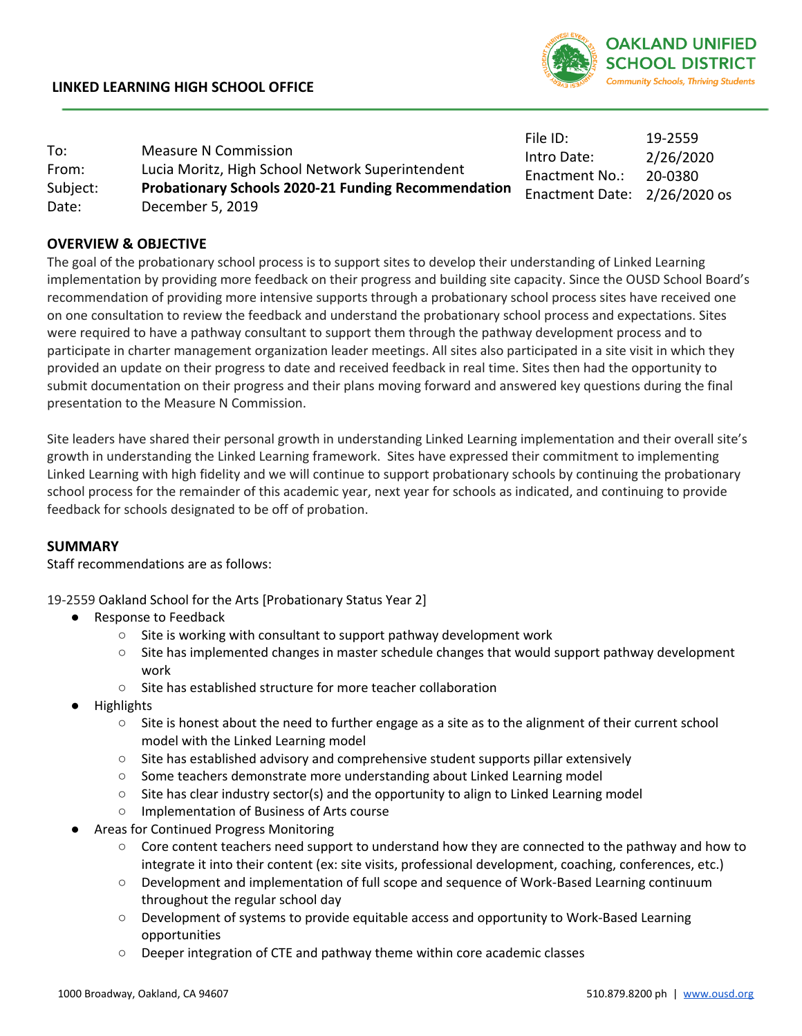

|          |                                                            | File ID:                     | 19-2559   |
|----------|------------------------------------------------------------|------------------------------|-----------|
| To:      | <b>Measure N Commission</b>                                | Intro Date:                  | 2/26/2020 |
| From:    | Lucia Moritz, High School Network Superintendent           | <b>Enactment No.:</b>        | 20-0380   |
| Subject: | <b>Probationary Schools 2020-21 Funding Recommendation</b> | Enactment Date: 2/26/2020 os |           |
| Date:    | December 5, 2019                                           |                              |           |

## **OVERVIEW & OBJECTIVE**

The goal of the probationary school process is to support sites to develop their understanding of Linked Learning implementation by providing more feedback on their progress and building site capacity. Since the OUSD School Board's recommendation of providing more intensive supports through a probationary school process sites have received one on one consultation to review the feedback and understand the probationary school process and expectations. Sites were required to have a pathway consultant to support them through the pathway development process and to participate in charter management organization leader meetings. All sites also participated in a site visit in which they provided an update on their progress to date and received feedback in real time. Sites then had the opportunity to submit documentation on their progress and their plans moving forward and answered key questions during the final presentation to the Measure N Commission.

Site leaders have shared their personal growth in understanding Linked Learning implementation and their overall site's growth in understanding the Linked Learning framework. Sites have expressed their commitment to implementing Linked Learning with high fidelity and we will continue to support probationary schools by continuing the probationary school process for the remainder of this academic year, next year for schools as indicated, and continuing to provide feedback for schools designated to be off of probation.

## **SUMMARY**

Staff recommendations are as follows:

19-2559 Oakland School for the Arts [Probationary Status Year 2]

- Response to Feedback
	- $\circ$  Site is working with consultant to support pathway development work
	- Site has implemented changes in master schedule changes that would support pathway development work
	- Site has established structure for more teacher collaboration
- **Highlights** 
	- Site is honest about the need to further engage as a site as to the alignment of their current school model with the Linked Learning model
	- Site has established advisory and comprehensive student supports pillar extensively
	- Some teachers demonstrate more understanding about Linked Learning model
	- $\circ$  Site has clear industry sector(s) and the opportunity to align to Linked Learning model
	- Implementation of Business of Arts course
- Areas for Continued Progress Monitoring
	- Core content teachers need support to understand how they are connected to the pathway and how to integrate it into their content (ex: site visits, professional development, coaching, conferences, etc.)
	- Development and implementation of full scope and sequence of Work-Based Learning continuum throughout the regular school day
	- Development of systems to provide equitable access and opportunity to Work-Based Learning opportunities
	- Deeper integration of CTE and pathway theme within core academic classes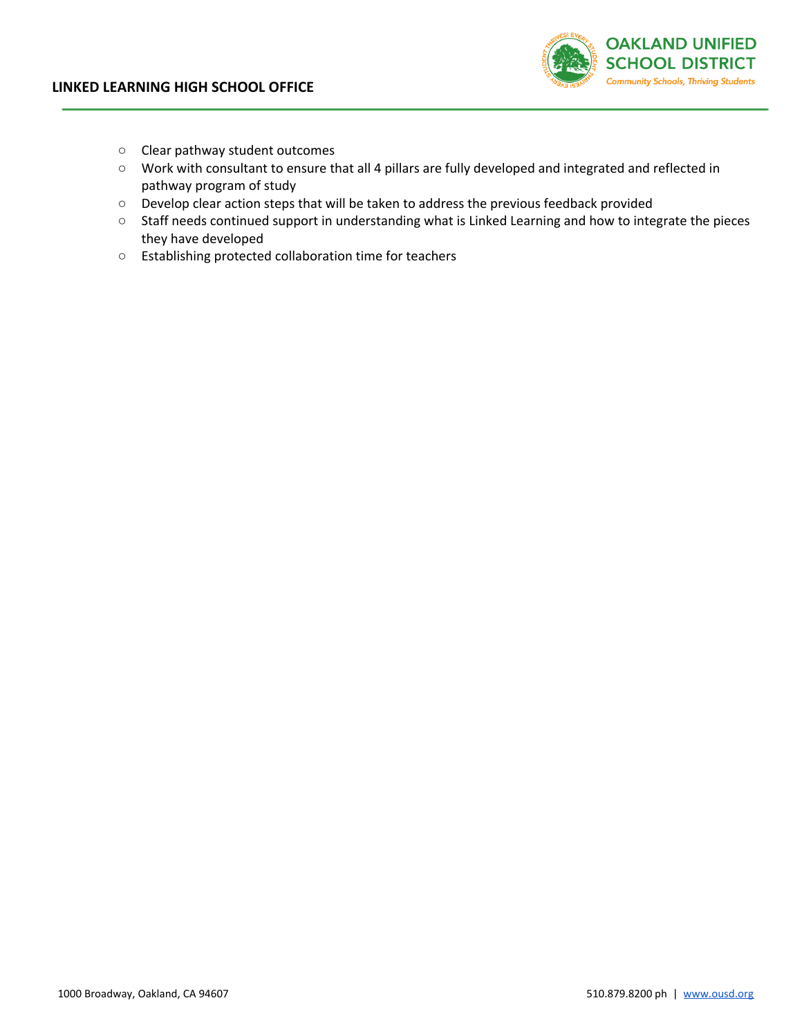

- Clear pathway student outcomes
- Work with consultant to ensure that all 4 pillars are fully developed and integrated and reflected in pathway program of study
- Develop clear action steps that will be taken to address the previous feedback provided
- Staff needs continued support in understanding what is Linked Learning and how to integrate the pieces they have developed
- Establishing protected collaboration time for teachers